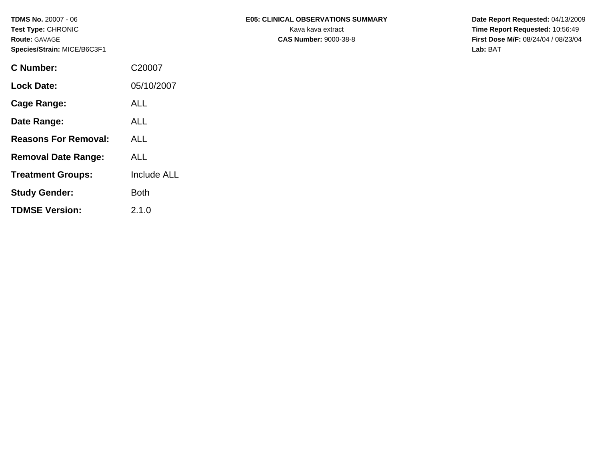| C Number:                   | C20007             |
|-----------------------------|--------------------|
| <b>Lock Date:</b>           | 05/10/2007         |
| Cage Range:                 | <b>ALL</b>         |
| Date Range:                 | AL L               |
| <b>Reasons For Removal:</b> | ALL                |
| <b>Removal Date Range:</b>  | ALL                |
| <b>Treatment Groups:</b>    | <b>Include ALL</b> |
| <b>Study Gender:</b>        | Both               |
| <b>TDMSE Version:</b>       | 2.1.0              |

## TDMS No. 20007 - 06 **E05: CLINICAL OBSERVATIONS SUMMARY** Date Report Requested: 04/13/2009

**Test Type:** CHRONIC **Transfer CHRONIC** Kava **Report Requested:** 10:56:49 **Route:** GAVAGE **CAS Number:** 9000-38-8 **First Dose M/F:** 08/24/04 / 08/23/04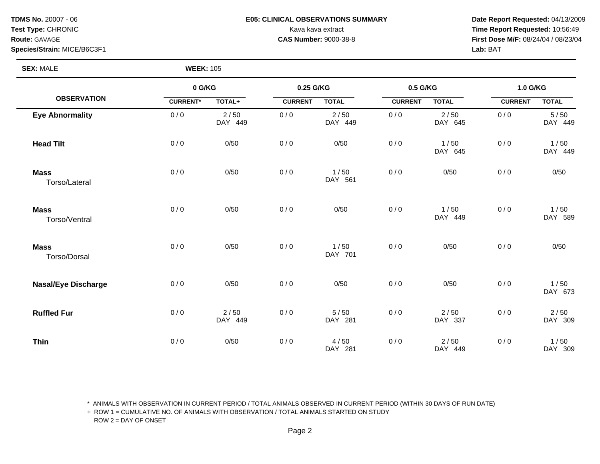## **TDMS No.** 20007 - 06 **E05: CLINICAL OBSERVATIONS SUMMARY** Date Report Requested: 04/13/2009

**Test Type:** CHRONIC **Transfer CHRONIC** Kava Rava extract Kava extract **Time Report Requested:** 10:56:49 **Route:** GAVAGE **CAS Number:** 9000-38-8 **First Dose M/F:** 08/24/04 / 08/23/04

| <b>SEX: MALE</b>             | <b>WEEK: 105</b> |                 |                |                   |                |                   |                |                 |
|------------------------------|------------------|-----------------|----------------|-------------------|----------------|-------------------|----------------|-----------------|
|                              | 0 G/KG           |                 | 0.25 G/KG      |                   | 0.5 G/KG       |                   | 1.0 G/KG       |                 |
| <b>OBSERVATION</b>           | <b>CURRENT*</b>  | TOTAL+          | <b>CURRENT</b> | <b>TOTAL</b>      | <b>CURRENT</b> | <b>TOTAL</b>      | <b>CURRENT</b> | <b>TOTAL</b>    |
| <b>Eye Abnormality</b>       | 0/0              | 2/50<br>DAY 449 | 0/0            | $2/50$<br>DAY 449 | 0/0            | $2/50$<br>DAY 645 | 0/0            | 5/50<br>DAY 449 |
| <b>Head Tilt</b>             | 0/0              | 0/50            | 0/0            | 0/50              | 0/0            | 1/50<br>DAY 645   | 0/0            | 1/50<br>DAY 449 |
| <b>Mass</b><br>Torso/Lateral | 0/0              | 0/50            | 0/0            | 1/50<br>DAY 561   | 0/0            | 0/50              | 0/0            | 0/50            |
| <b>Mass</b><br>Torso/Ventral | 0/0              | 0/50            | 0/0            | 0/50              | 0/0            | 1/50<br>DAY 449   | 0/0            | 1/50<br>DAY 589 |
| <b>Mass</b><br>Torso/Dorsal  | 0/0              | 0/50            | 0/0            | 1/50<br>DAY 701   | 0/0            | 0/50              | 0/0            | 0/50            |
| <b>Nasal/Eye Discharge</b>   | 0/0              | 0/50            | 0/0            | 0/50              | 0/0            | 0/50              | 0/0            | 1/50<br>DAY 673 |
| <b>Ruffled Fur</b>           | 0/0              | 2/50<br>DAY 449 | 0/0            | $5/50$<br>DAY 281 | 0/0            | 2/50<br>DAY 337   | 0/0            | 2/50<br>DAY 309 |
| <b>Thin</b>                  | 0/0              | 0/50            | 0/0            | 4/50<br>DAY 281   | 0/0            | 2/50<br>DAY 449   | 0/0            | 1/50<br>DAY 309 |

\* ANIMALS WITH OBSERVATION IN CURRENT PERIOD / TOTAL ANIMALS OBSERVED IN CURRENT PERIOD (WITHIN 30 DAYS OF RUN DATE)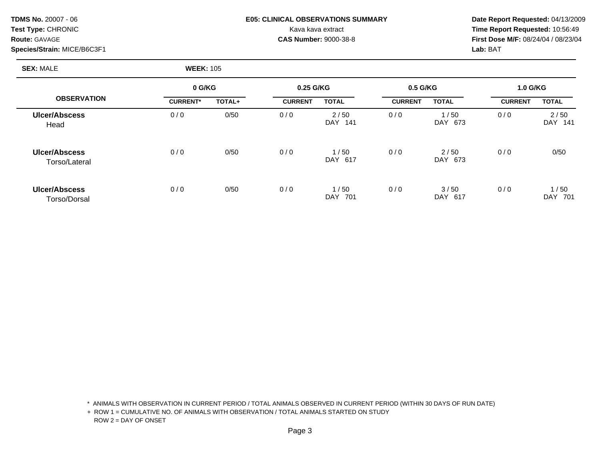| <b>TDMS No. 20007 - 06</b>  | <b>E05: CLINICAL OBSERVATIONS SUMMARY</b> | Date Rep         |
|-----------------------------|-------------------------------------------|------------------|
| <b>Test Type: CHRONIC</b>   | Kava kava extract                         | Time Rep         |
| <b>Route: GAVAGE</b>        | <b>CAS Number: 9000-38-8</b>              | <b>First Dos</b> |
| Species/Strain: MICE/B6C3F1 |                                           | <b>Lab: BAT</b>  |

# **F05: CLINICAL OBSERVATIONS SUMMARY Date Report Requested:** 04/13/2009

**Kava kava extract CHRONIC CHRONIC CHRONIC Time Report Requested:** 10:56:49 **Route:** GAVAGE **CAS Number:** 9000-38-8 **First Dose M/F:** 08/24/04 / 08/23/04

**SEX:** MALE **WEEK:** 105

|                                       |                 | 0 G/KG |                | 0.25 G/KG          |                | 0.5 G/KG        |                | <b>1.0 G/KG</b>           |  |
|---------------------------------------|-----------------|--------|----------------|--------------------|----------------|-----------------|----------------|---------------------------|--|
| <b>OBSERVATION</b>                    | <b>CURRENT*</b> | TOTAL+ | <b>CURRENT</b> | <b>TOTAL</b>       | <b>CURRENT</b> | <b>TOTAL</b>    | <b>CURRENT</b> | <b>TOTAL</b>              |  |
| <b>Ulcer/Abscess</b><br>Head          | 0/0             | 0/50   | 0/0            | 2/50<br>DAY 141    | 0/0            | 1/50<br>DAY 673 | 0/0            | 2/50<br><b>DAY</b><br>141 |  |
| <b>Ulcer/Abscess</b><br>Torso/Lateral | 0/0             | 0/50   | 0/0            | 1/50<br>DAY 617    | 0/0            | 2/50<br>DAY 673 | 0/0            | 0/50                      |  |
| <b>Ulcer/Abscess</b><br>Torso/Dorsal  | 0/0             | 0/50   | 0/0            | 1/50<br>DAY<br>701 | 0/0            | 3/50<br>DAY 617 | 0/0            | 1/50<br>DAY<br>701        |  |

\* ANIMALS WITH OBSERVATION IN CURRENT PERIOD / TOTAL ANIMALS OBSERVED IN CURRENT PERIOD (WITHIN 30 DAYS OF RUN DATE)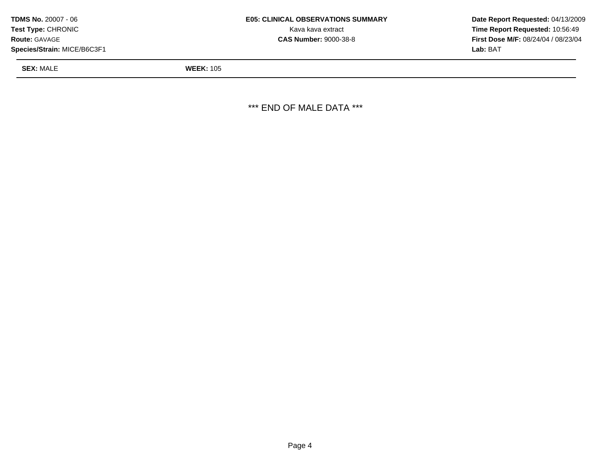| <b>TDMS No. 20007 - 06</b>  | <b>E05: CLINICAL OBSERVATIONS SUMMARY</b> | Date Rep         |  |
|-----------------------------|-------------------------------------------|------------------|--|
| <b>Test Type: CHRONIC</b>   | Kava kava extract                         | Time Rer         |  |
| <b>Route: GAVAGE</b>        | <b>CAS Number: 9000-38-8</b>              | <b>First Dos</b> |  |
| Species/Strain: MICE/B6C3F1 |                                           | <b>Lab: BAT</b>  |  |

**Kava kava extract CHRONIC CHRONIC CHRONIC Time Report Requested:** 10:56:49 **CAS Number:** 9000-38-8 **First Dose M/F:** 08/24/04 / 08/23/04

**SEX:** MALE **WEEK:** 105

\*\*\* END OF MALE DATA \*\*\*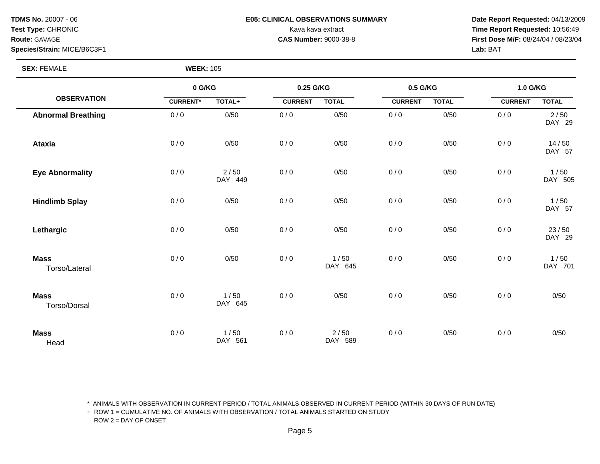## **TDMS No.** 20007 - 06 **E05: CLINICAL OBSERVATIONS SUMMARY** Date Report Requested: 04/13/2009

**Test Type:** CHRONIC **Transfer CHRONIC** Kava Rava extract Kava extract **Time Report Requested:** 10:56:49 **Route:** GAVAGE **CAS Number:** 9000-38-8 **First Dose M/F:** 08/24/04 / 08/23/04

**SEX: FEMALE** 

|                              | 0 G/KG          |                   | 0.25 G/KG      |                 | 0.5 G/KG       |              | 1.0 G/KG       |                 |
|------------------------------|-----------------|-------------------|----------------|-----------------|----------------|--------------|----------------|-----------------|
| <b>OBSERVATION</b>           | <b>CURRENT*</b> | TOTAL+            | <b>CURRENT</b> | <b>TOTAL</b>    | <b>CURRENT</b> | <b>TOTAL</b> | <b>CURRENT</b> | <b>TOTAL</b>    |
| <b>Abnormal Breathing</b>    | 0/0             | 0/50              | 0/0            | 0/50            | 0/0            | 0/50         | 0/0            | 2/50<br>DAY 29  |
| <b>Ataxia</b>                | 0/0             | 0/50              | 0/0            | 0/50            | 0/0            | 0/50         | 0/0            | 14/50<br>DAY 57 |
| <b>Eye Abnormality</b>       | 0/0             | $2/50$<br>DAY 449 | 0/0            | 0/50            | 0/0            | 0/50         | 0/0            | 1/50<br>DAY 505 |
| <b>Hindlimb Splay</b>        | 0/0             | 0/50              | 0/0            | 0/50            | 0/0            | 0/50         | 0/0            | 1/50<br>DAY 57  |
| Lethargic                    | 0/0             | 0/50              | 0/0            | 0/50            | 0/0            | 0/50         | 0/0            | 23/50<br>DAY 29 |
| <b>Mass</b><br>Torso/Lateral | 0/0             | 0/50              | 0/0            | 1/50<br>DAY 645 | 0/0            | 0/50         | 0/0            | 1/50<br>DAY 701 |
| <b>Mass</b><br>Torso/Dorsal  | 0/0             | 1/50<br>DAY 645   | 0/0            | 0/50            | 0/0            | 0/50         | 0/0            | 0/50            |
| <b>Mass</b><br>Head          | 0/0             | 1/50<br>DAY 561   | 0/0            | 2/50<br>DAY 589 | 0/0            | 0/50         | 0/0            | 0/50            |

\* ANIMALS WITH OBSERVATION IN CURRENT PERIOD / TOTAL ANIMALS OBSERVED IN CURRENT PERIOD (WITHIN 30 DAYS OF RUN DATE)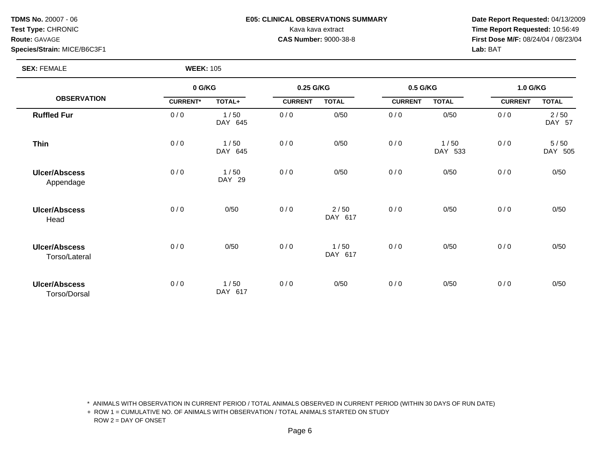## **TDMS No.** 20007 - 06 **E05: CLINICAL OBSERVATIONS SUMMARY** Date Report Requested: 04/13/2009

**Test Type:** CHRONIC **Transfer CHRONIC** Kava Rava extract Kava extract **Time Report Requested:** 10:56:49 **Route:** GAVAGE **CAS Number:** 9000-38-8 **First Dose M/F:** 08/24/04 / 08/23/04

**SEX: FEMALE** 

|                                       | 0 G/KG          |                 | 0.25 G/KG      |                 | 0.5 G/KG       |                 | 1.0 G/KG       |                 |
|---------------------------------------|-----------------|-----------------|----------------|-----------------|----------------|-----------------|----------------|-----------------|
| <b>OBSERVATION</b>                    | <b>CURRENT*</b> | TOTAL+          | <b>CURRENT</b> | <b>TOTAL</b>    | <b>CURRENT</b> | <b>TOTAL</b>    | <b>CURRENT</b> | <b>TOTAL</b>    |
| <b>Ruffled Fur</b>                    | 0/0             | 1/50<br>DAY 645 | 0/0            | 0/50            | 0/0            | 0/50            | 0/0            | 2/50<br>DAY 57  |
| <b>Thin</b>                           | 0/0             | 1/50<br>DAY 645 | 0/0            | 0/50            | 0/0            | 1/50<br>DAY 533 | 0/0            | 5/50<br>DAY 505 |
| <b>Ulcer/Abscess</b><br>Appendage     | 0/0             | 1/50<br>DAY 29  | 0/0            | 0/50            | 0/0            | 0/50            | 0/0            | 0/50            |
| <b>Ulcer/Abscess</b><br>Head          | 0/0             | 0/50            | 0/0            | 2/50<br>DAY 617 | 0/0            | 0/50            | 0/0            | 0/50            |
| <b>Ulcer/Abscess</b><br>Torso/Lateral | 0/0             | 0/50            | 0/0            | 1/50<br>DAY 617 | 0/0            | 0/50            | 0/0            | 0/50            |
| <b>Ulcer/Abscess</b><br>Torso/Dorsal  | 0/0             | 1/50<br>DAY 617 | 0/0            | 0/50            | 0/0            | 0/50            | 0/0            | 0/50            |

\* ANIMALS WITH OBSERVATION IN CURRENT PERIOD / TOTAL ANIMALS OBSERVED IN CURRENT PERIOD (WITHIN 30 DAYS OF RUN DATE)